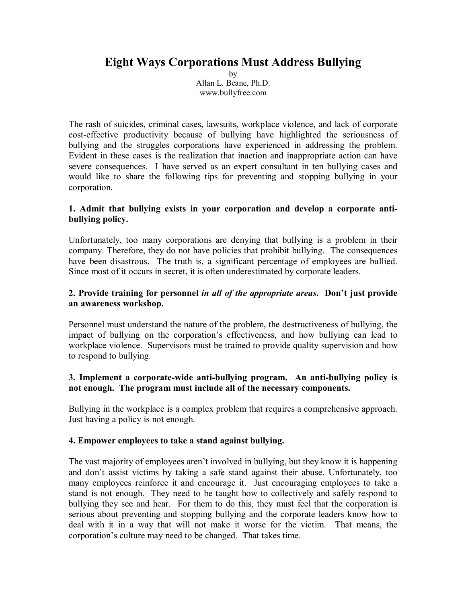# **Eight Ways Corporations Must Address Bullying**

by Allan L. Beane, Ph.D. www.bullyfree.com

The rash of suicides, criminal cases, lawsuits, workplace violence, and lack of corporate cost-effective productivity because of bullying have highlighted the seriousness of bullying and the struggles corporations have experienced in addressing the problem. Evident in these cases is the realization that inaction and inappropriate action can have severe consequences. I have served as an expert consultant in ten bullying cases and would like to share the following tips for preventing and stopping bullying in your corporation.

# **1. Admit that bullying exists in your corporation and develop a corporate antibullying policy.**

Unfortunately, too many corporations are denying that bullying is a problem in their company. Therefore, they do not have policies that prohibit bullying. The consequences have been disastrous. The truth is, a significant percentage of employees are bullied. Since most of it occurs in secret, it is often underestimated by corporate leaders.

# **2. Provide training for personnel** *in all of the appropriate areas***. Don't just provide an awareness workshop.**

Personnel must understand the nature of the problem, the destructiveness of bullying, the impact of bullying on the corporation's effectiveness, and how bullying can lead to workplace violence. Supervisors must be trained to provide quality supervision and how to respond to bullying.

### **3. Implement** a corporate-wide anti-bullying program. An anti-bullying policy is **not enough. The program must include all of the necessary components.**

Bullying in the workplace is a complex problem that requires a comprehensive approach. Just having a policy is not enough.

### **4. Empower employees to take a stand against bullying.**

The vast majority of employees aren't involved in bullying, but they know it is happening and don't assist victims by taking a safe stand against their abuse. Unfortunately, too many employees reinforce it and encourage it. Just encouraging employees to take a stand is not enough. They need to be taught how to collectively and safely respond to bullying they see and hear. For them to do this, they must feel that the corporation is serious about preventing and stopping bullying and the corporate leaders know how to deal with it in a way that will not make it worse for the victim. That means, the corporation's culture may need to be changed. That takes time.